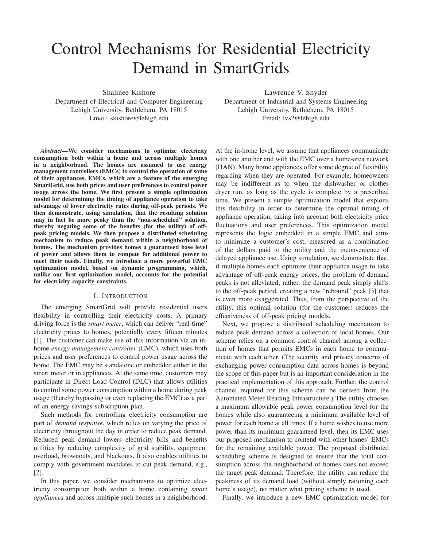# Control Mechanisms for Residential Electricity Demand in SmartGrids

Shalinee Kishore

Department of Electrical and Computer Engineering Lehigh University, Bethlehem, PA 18015 Email: skishore@lehigh.edu

*Abstract***—We consider mechanisms to optimize electricity consumption both within a home and across multiple homes in a neighborhood. The homes are assumed to use energy management controllers (EMCs) to control the operation of some of their appliances. EMCs, which are a feature of the emerging SmartGrid, use both prices and user preferences to control power usage across the home. We first present a simple optimization model for determining the timing of appliance operation to take advantage of lower electricity rates during off-peak periods. We then demonstrate, using simulation, that the resulting solution may in fact be more peaky than the "non-scheduled" solution, thereby negating some of the benefits (for the utility) of offpeak pricing models. We then propose a distributed scheduling mechanism to reduce peak demand within a neighborhood of homes. The mechanism provides homes a guaranteed base level of power and allows them to compete for additional power to meet their needs. Finally, we introduce a more powerful EMC optimization model, based on dynamic programming, which, unlike our first optimization model, accounts for the potential for electricity capacity constraints.**

# I. INTRODUCTION

The emerging SmartGrid will provide residential users flexibility in controlling their electricity costs. A primary driving force is the *smart meter*, which can deliver "real-time" electricity prices to homes, potentially every fifteen minutes [1]. The customer can make use of this information via an inhome *energy management controller* (EMC), which uses both prices and user preferences to control power usage across the home. The EMC may be standalone or embedded either in the smart meter or in appliances. At the same time, customers may participate in Direct Load Control (DLC) that allows utilities to control some power consumption within a home during peak usage (thereby bypassing or even replacing the EMC) as a part of an energy savings subscription plan.

Such methods for controlling electricity consumption are part of *demand response*, which relies on varying the price of electricity throughout the day in order to reduce peak demand. Reduced peak demand lowers electricity bills and benefits utilities by reducing complexity of grid stability, equipment overload, brownouts, and blackouts. It also enables utilities to comply with government mandates to cut peak demand, e.g., [2].

In this paper, we consider mechanisms to optimize electricity consumption both within a home containing *smart appliances* and across multiple such homes in a neighborhood. Lawrence V. Snyder

Department of Industrial and Systems Engineering Lehigh University, Bethlehem, PA 18015 Email: lvs2@lehigh.edu

At the in-home level, we assume that appliances communicate with one another and with the EMC over a home-area network (HAN). Many home appliances offer some degree of flexibility regarding when they are operated. For example, homeowners may be indifferent as to when the dishwasher or clothes dryer run, as long as the cycle is complete by a prescribed time. We present a simple optimization model that exploits this flexibility in order to determine the optimal timing of appliance operation, taking into account both electricity price fluctuations and user preferences. This optimization model represents the logic embedded in a simple EMC and aims to minimize a customer's cost, measured as a combination of the dollars paid to the utility and the inconvenience of delayed appliance use. Using simulation, we demonstrate that, if multiple homes each optimize their appliance usage to take advantage of off-peak energy prices, the problem of demand peaks is not alleviated; rather, the demand peak simply shifts to the off-peak period, creating a new "rebound" peak [3] that is even more exaggerated. Thus, from the perspective of the utility, this optimal solution (for the customer) reduces the effectiveness of off-peak pricing models.

Next, we propose a distributed scheduling mechanism to reduce peak demand across a collection of local homes. Our scheme relies on a common control channel among a collection of homes that permits EMCs in each home to communicate with each other. (The security and privacy concerns of exchanging power consumption data across homes is beyond the scope of this paper but is an important consideration in the practical implementation of this approach. Further, the control channel required for this scheme can be derived from the Automated Meter Reading Infrastructure.) The utility chooses a maximum allowable peak power consumption level for the homes while also guaranteeing a minimum available level of power for each home at all times. If a home wishes to use more power than its minimum guaranteed level, then its EMC uses our proposed mechanism to contend with other homes' EMCs for the remaining available power. The proposed distributed scheduling scheme is designed to ensure that the total consumption across the neighborhood of homes does not exceed the target peak demand. Therefore, the utility can reduce the peakiness of its demand load (without simply rationing each home's usage), no matter what pricing scheme is used.

Finally, we introduce a new EMC optimization model for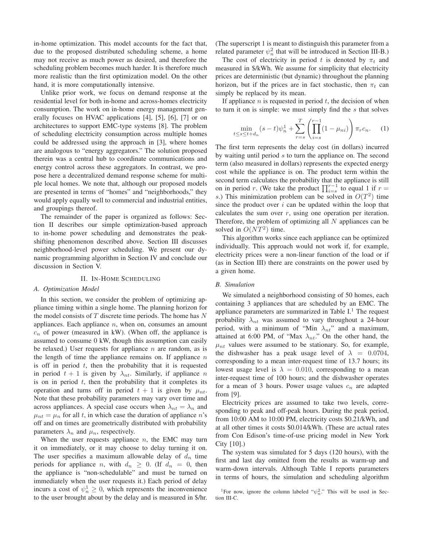in-home optimization. This model accounts for the fact that, due to the proposed distributed scheduling scheme, a home may not receive as much power as desired, and therefore the scheduling problem becomes much harder. It is therefore much more realistic than the first optimization model. On the other hand, it is more computationally intensive.

Unlike prior work, we focus on demand response at the residential level for both in-home and across-homes electricity consumption. The work on in-home energy management generally focuses on HVAC applications [4], [5], [6], [7] or on architectures to support EMC-type systems [8]. The problem of scheduling electricity consumption across multiple homes could be addressed using the approach in [3], where homes are analogous to "energy aggregators." The solution proposed therein was a central hub to coordinate communications and energy control across these aggregators. In contrast, we propose here a decentralized demand response scheme for multiple local homes. We note that, although our proposed models are presented in terms of "homes" and "neighborhoods," they would apply equally well to commercial and industrial entities, and groupings thereof.

The remainder of the paper is organized as follows: Section II describes our simple optimization-based approach to in-home power scheduling and demonstrates the peakshifting phenomenon described above. Section III discusses neighborhood-level power scheduling. We present our dynamic programming algorithm in Section IV and conclude our discussion in Section V.

### II. IN-HOME SCHEDULING

## *A. Optimization Model*

In this section, we consider the problem of optimizing appliance timing within a single home. The planning horizon for the model consists of  $T$  discrete time periods. The home has  $N$ appliances. Each appliance  $n$ , when on, consumes an amount  $c_n$  of power (measured in kW). (When off, the appliance is assumed to consume 0 kW, though this assumption can easily be relaxed.) User requests for appliance  $n$  are random, as is the length of time the appliance remains on. If appliance  $n$ is off in period  $t$ , then the probability that it is requested in period  $t + 1$  is given by  $\lambda_{nt}$ . Similarly, if appliance n is on in period  $t$ , then the probability that it completes its operation and turns off in period  $t + 1$  is given by  $\mu_{nt}$ . Note that these probability parameters may vary over time and across appliances. A special case occurs when  $\lambda_{nt} = \lambda_n$  and  $\mu_{nt} = \mu_n$  for all t, in which case the duration of appliance n's off and on times are geometrically distributed with probability parameters  $\lambda_n$  and  $\mu_n$ , respectively.

When the user requests appliance  $n$ , the EMC may turn it on immediately, or it may choose to delay turning it on. The user specifies a maximum allowable delay of  $d_n$  time periods for appliance *n*, with  $d_n \geq 0$ . (If  $d_n = 0$ , then the appliance is "non-schedulable" and must be turned on immediately when the user requests it.) Each period of delay incurs a cost of  $\psi_n^1 \geq 0$ , which represents the inconvenience to the user brought about by the delay and is measured in \$/hr. (The superscript 1 is meant to distinguish this parameter from a related parameter  $\psi_n^2$  that will be introduced in Section III-B.)

The cost of electricity in period t is denoted by  $\pi_t$  and measured in \$/kWh. We assume for simplicity that electricity prices are deterministic (but dynamic) throughout the planning horizon, but if the prices are in fact stochastic, then  $\pi_t$  can simply be replaced by its mean.

If appliance  $n$  is requested in period  $t$ , the decision of when to turn it on is simple: we must simply find the  $s$  that solves

$$
\min_{t \le s \le t + d_n} (s - t) \psi_n^1 + \sum_{r=s}^T \left( \prod_{i=s}^{r-1} (1 - \mu_{ni}) \right) \pi_r c_n.
$$
 (1)

The first term represents the delay cost (in dollars) incurred by waiting until period s to turn the appliance on. The second term (also measured in dollars) represents the expected energy cost while the appliance is on. The product term within the second term calculates the probability that the appliance is still on in period *r*. (We take the product  $\prod_{i=s}^{r-1}$  to equal 1 if  $r =$ s.) This minimization problem can be solved in  $O(T^2)$  time since the product over  $i$  can be updated within the loop that calculates the sum over  $r$ , using one operation per iteration. Therefore, the problem of optimizing all  $N$  appliances can be solved in  $O(NT^2)$  time.

This algorithm works since each appliance can be optimized individually. This approach would not work if, for example, electricity prices were a non-linear function of the load or if (as in Section III) there are constraints on the power used by a given home.

# *B. Simulation*

We simulated a neighborhood consisting of 50 homes, each containing 3 appliances that are scheduled by an EMC. The appliance parameters are summarized in Table  $I<sup>1</sup>$ . The request probability  $\lambda_{nt}$  was assumed to vary throughout a 24-hour period, with a minimum of "Min  $\lambda_{nt}$ " and a maximum, attained at 6:00 PM, of "Max  $\lambda_{nt}$ ." On the other hand, the  $\mu_{nt}$  values were assumed to be stationary. So, for example, the dishwasher has a peak usage level of  $\lambda = 0.0704$ , corresponding to a mean inter-request time of 13.7 hours; its lowest usage level is  $\lambda = 0.010$ , corresponding to a mean inter-request time of 100 hours; and the dishwasher operates for a mean of 3 hours. Power usage values  $c_n$  are adapted from [9].

Electricity prices are assumed to take two levels, corresponding to peak and off-peak hours. During the peak period, from 10:00 AM to 10:00 PM, electricity costs \$0.21/kWh, and at all other times it costs \$0.014/kWh. (These are actual rates from Con Edison's time-of-use pricing model in New York City [10].)

The system was simulated for 5 days (120 hours), with the first and last day omitted from the results as warm-up and warm-down intervals. Although Table I reports parameters in terms of hours, the simulation and scheduling algorithm

<sup>&</sup>lt;sup>1</sup>For now, ignore the column labeled " $\psi_n^2$ ." This will be used in Section III-C.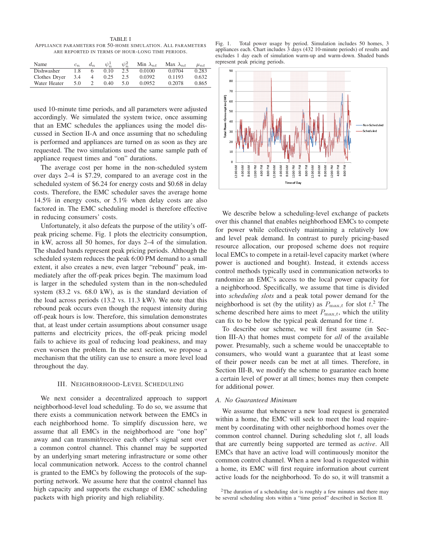TABLE I APPLIANCE PARAMETERS FOR 50-HOME SIMULATION. ALL PARAMETERS ARE REPORTED IN TERMS OF HOUR-LONG TIME PERIODS.

| Name          | $c_n$ | $d_n$          | $\psi_n^{\perp}$ | $\psi_n^2$ | Min $\lambda_{nt}$ | Max $\lambda_{nt}$ | $\mu_{nt}$ |
|---------------|-------|----------------|------------------|------------|--------------------|--------------------|------------|
| Dishwasher    | 1.8   |                | 0.10             | 2.5        | 0.0100             | 0.0704             | 0.283      |
| Clothes Dryer | 3.4   | $\overline{4}$ | 0.25             | 2.5        | 0.0392             | 0.1193             | 0.632      |
| Water Heater  | 5.0   |                | 0.40             | 5.0        | 0.0952             | 0.2078             | 0.865      |

used 10-minute time periods, and all parameters were adjusted accordingly. We simulated the system twice, once assuming that an EMC schedules the appliances using the model discussed in Section II-A and once assuming that no scheduling is performed and appliances are turned on as soon as they are requested. The two simulations used the same sample path of appliance request times and "on" durations.

The average cost per home in the non-scheduled system over days 2–4 is \$7.29, compared to an average cost in the scheduled system of \$6.24 for energy costs and \$0.68 in delay costs. Therefore, the EMC scheduler saves the average home 14.5% in energy costs, or 5.1% when delay costs are also factored in. The EMC scheduling model is therefore effective in reducing consumers' costs.

Unfortunately, it also defeats the purpose of the utility's offpeak pricing scheme. Fig. 1 plots the electricity consumption, in kW, across all 50 homes, for days 2–4 of the simulation. The shaded bands represent peak pricing periods. Although the scheduled system reduces the peak 6:00 PM demand to a small extent, it also creates a new, even larger "rebound" peak, immediately after the off-peak prices begin. The maximum load is larger in the scheduled system than in the non-scheduled system (83.2 vs. 68.0 kW), as is the standard deviation of the load across periods (13.2 vs. 11.3 kW). We note that this rebound peak occurs even though the request intensity during off-peak hours is low. Therefore, this simulation demonstrates that, at least under certain assumptions about consumer usage patterns and electricity prices, the off-peak pricing model fails to achieve its goal of reducing load peakiness, and may even worsen the problem. In the next section, we propose a mechanism that the utility can use to ensure a more level load throughout the day.

## III. NEIGHBORHOOD-LEVEL SCHEDULING

We next consider a decentralized approach to support neighborhood-level load scheduling. To do so, we assume that there exists a communication network between the EMCs in each neighborhood home. To simplify discussion here, we assume that all EMCs in the neighborhood are "one hop" away and can transmit/receive each other's signal sent over a common control channel. This channel may be supported by an underlying smart metering infrastructure or some other local communication network. Access to the control channel is granted to the EMCs by following the protocols of the supporting network. We assume here that the control channel has high capacity and supports the exchange of EMC scheduling packets with high priority and high reliability.

Fig. 1. Total power usage by period. Simulation includes 50 homes, 3 appliances each. Chart includes 3 days (432 10-minute periods) of results and excludes 1 day each of simulation warm-up and warm-down. Shaded bands represent peak pricing periods.



We describe below a scheduling-level exchange of packets over this channel that enables neighborhood EMCs to compete for power while collectively maintaining a relatively low and level peak demand. In contrast to purely pricing-based resource allocation, our proposed scheme does not require local EMCs to compete in a retail-level capacity market (where power is auctioned and bought). Instead, it extends access control methods typically used in communication networks to randomize an EMC's access to the local power capacity for a neighborhood. Specifically, we assume that time is divided into *scheduling slots* and a peak total power demand for the neighborhood is set (by the utility) as  $P_{\text{max},t}$  for slot  $t^2$ . The scheme described here aims to meet  $P_{\text{max},t}$ , which the utility can fix to be below the typical peak demand for time t.

To describe our scheme, we will first assume (in Section III-A) that homes must compete for *all* of the available power. Presumably, such a scheme would be unacceptable to consumers, who would want a guarantee that at least some of their power needs can be met at all times. Therefore, in Section III-B, we modify the scheme to guarantee each home a certain level of power at all times; homes may then compete for additional power.

## *A. No Guaranteed Minimum*

We assume that whenever a new load request is generated within a home, the EMC will seek to meet the load requirement by coordinating with other neighborhood homes over the common control channel. During scheduling slot  $t$ , all loads that are currently being supported are termed as *active*. All EMCs that have an active load will continuously monitor the common control channel. When a new load is requested within a home, its EMC will first require information about current active loads for the neighborhood. To do so, it will transmit a

<sup>&</sup>lt;sup>2</sup>The duration of a scheduling slot is roughly a few minutes and there may be several scheduling slots within a "time period" described in Section II.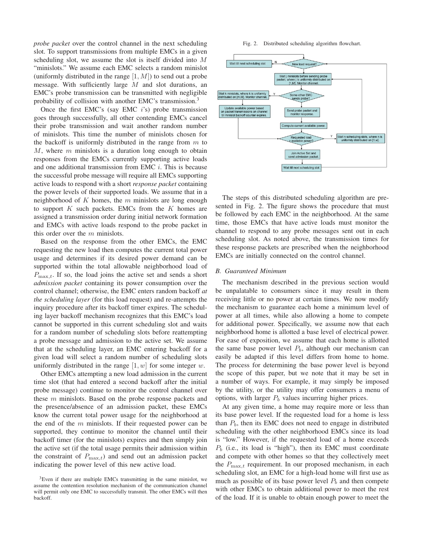*probe packet* over the control channel in the next scheduling slot. To support transmissions from multiple EMCs in a given scheduling slot, we assume the slot is itself divided into M "minislots." We assume each EMC selects a random minislot (uniformly distributed in the range  $[1, M]$ ) to send out a probe message. With sufficiently large  $M$  and slot durations, an EMC's probe transmission can be transmitted with negligible probability of collision with another EMC's transmission.<sup>3</sup>

Once the first EMC's (say EMC  $i$ 's) probe transmission goes through successfully, all other contending EMCs cancel their probe transmission and wait another random number of minislots. This time the number of minislots chosen for the backoff is uniformly distributed in the range from  $m$  to  $M$ , where  $m$  minislots is a duration long enough to obtain responses from the EMCs currently supporting active loads and one additional transmission from EMC  $i$ . This is because the successful probe message will require all EMCs supporting active loads to respond with a short *response packet* containing the power levels of their supported loads. We assume that in a neighborhood of  $K$  homes, the  $m$  minislots are long enough to support  $K$  such packets. EMCs from the  $K$  homes are assigned a transmission order during initial network formation and EMCs with active loads respond to the probe packet in this order over the  $m$  minislots.

Based on the response from the other EMCs, the EMC requesting the new load then computes the current total power usage and determines if its desired power demand can be supported within the total allowable neighborhood load of  $P_{\text{max},t}$ . If so, the load joins the active set and sends a short *admission packet* containing its power consumption over the control channel; otherwise, the EMC enters random backoff *at the scheduling layer* (for this load request) and re-attempts the inquiry procedure after its backoff timer expires. The scheduling layer backoff mechanism recognizes that this EMC's load cannot be supported in this current scheduling slot and waits for a random number of scheduling slots before reattempting a probe message and admission to the active set. We assume that at the scheduling layer, an EMC entering backoff for a given load will select a random number of scheduling slots uniformly distributed in the range  $[1, w]$  for some integer w.

Other EMCs attempting a new load admission in the current time slot (that had entered a second backoff after the initial probe message) continue to monitor the control channel over these  $m$  minislots. Based on the probe response packets and the presence/absence of an admission packet, these EMCs know the current total power usage for the neighborhood at the end of the  $m$  minislots. If their requested power can be supported, they continue to monitor the channel until their backoff timer (for the minislots) expires and then simply join the active set (if the total usage permits their admission within the constraint of  $P_{\text{max},t}$ ) and send out an admission packet indicating the power level of this new active load.

#### Fig. 2. Distributed scheduling algorithm flowchart.



The steps of this distributed scheduling algorithm are presented in Fig. 2. The figure shows the procedure that must be followed by each EMC in the neighborhood. At the same time, those EMCs that have active loads must monitor the channel to respond to any probe messages sent out in each scheduling slot. As noted above, the transmission times for these response packets are prescribed when the neighborhood EMCs are initially connected on the control channel.

## *B. Guaranteed Minimum*

The mechanism described in the previous section would be unpalatable to consumers since it may result in them receiving little or no power at certain times. We now modify the mechanism to guarantee each home a minimum level of power at all times, while also allowing a home to compete for additional power. Specifically, we assume now that each neighborhood home is allotted a base level of electrical power. For ease of exposition, we assume that each home is allotted the same base power level  $P_b$ , although our mechanism can easily be adapted if this level differs from home to home. The process for determining the base power level is beyond the scope of this paper, but we note that it may be set in a number of ways. For example, it may simply be imposed by the utility, or the utility may offer consumers a menu of options, with larger  $P_b$  values incurring higher prices.

At any given time, a home may require more or less than its base power level. If the requested load for a home is less than  $P_b$ , then its EMC does not need to engage in distributed scheduling with the other neighborhood EMCs since its load is "low." However, if the requested load of a home exceeds  $P_b$  (i.e., its load is "high"), then its EMC must coordinate and compete with other homes so that they collectively meet the  $P_{\text{max},t}$  requirement. In our proposed mechanism, in each scheduling slot, an EMC for a high-load home will first use as much as possible of its base power level  $P<sub>b</sub>$  and then compete with other EMCs to obtain additional power to meet the rest of the load. If it is unable to obtain enough power to meet the

 $3$ Even if there are multiple EMCs transmitting in the same minislot, we assume the contention resolution mechanism of the communication channel will permit only one EMC to successfully transmit. The other EMCs will then backoff.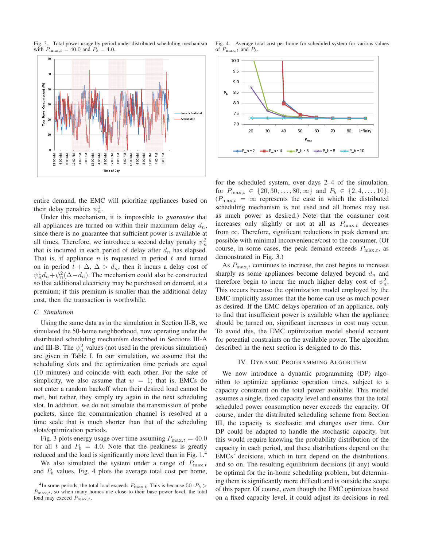Fig. 3. Total power usage by period under distributed scheduling mechanism with  $P_{\text{max},t} = 40.0$  and  $P_b = 4.0$ .



entire demand, the EMC will prioritize appliances based on their delay penalties  $\psi_n^1$ .

Under this mechanism, it is impossible to *guarantee* that all appliances are turned on within their maximum delay  $d_n$ , since there is no guarantee that sufficient power is available at all times. Therefore, we introduce a second delay penalty  $\psi_n^2$ that is incurred in each period of delay after  $d_n$  has elapsed. That is, if appliance  $n$  is requested in period  $t$  and turned on in period  $t + \Delta$ ,  $\Delta > d_n$ , then it incurs a delay cost of  $\psi_n^1 d_n + \psi_n^2 (\Delta - d_n)$ . The mechanism could also be constructed so that additional electricity may be purchased on demand, at a premium; if this premium is smaller than the additional delay cost, then the transaction is worthwhile.

# *C. Simulation*

Using the same data as in the simulation in Section II-B, we simulated the 50-home neighborhood, now operating under the distributed scheduling mechanism described in Sections III-A and III-B. The  $\psi_n^2$  values (not used in the previous simulation) are given in Table I. In our simulation, we assume that the scheduling slots and the optimization time periods are equal (10 minutes) and coincide with each other. For the sake of simplicity, we also assume that  $w = 1$ ; that is, EMCs do not enter a random backoff when their desired load cannot be met, but rather, they simply try again in the next scheduling slot. In addition, we do not simulate the transmission of probe packets, since the communication channel is resolved at a time scale that is much shorter than that of the scheduling slots/optimization periods.

Fig. 3 plots energy usage over time assuming  $P_{\text{max},t} = 40.0$ for all t and  $P_b = 4.0$ . Note that the peakiness is greatly reduced and the load is significantly more level than in Fig. 1.<sup>4</sup>

We also simulated the system under a range of  $P_{\text{max},t}$ and  $P_b$  values. Fig. 4 plots the average total cost per home,





for the scheduled system, over days 2–4 of the simulation, for  $P_{\text{max},t} \in \{20, 30, \ldots, 80, \infty\}$  and  $P_b \in \{2, 4, \ldots, 10\}.$  $(P_{\text{max},t} = \infty$  represents the case in which the distributed scheduling mechanism is not used and all homes may use as much power as desired.) Note that the consumer cost increases only slightly or not at all as  $P_{\text{max},t}$  decreases from  $\infty$ . Therefore, significant reductions in peak demand are possible with minimal inconvenience/cost to the consumer. (Of course, in some cases, the peak demand exceeds  $P_{\text{max},t}$ , as demonstrated in Fig. 3.)

As  $P_{\text{max},t}$  continues to increase, the cost begins to increase sharply as some appliances become delayed beyond d*<sup>n</sup>* and therefore begin to incur the much higher delay cost of  $\psi_n^2$ . This occurs because the optimization model employed by the EMC implicitly assumes that the home can use as much power as desired. If the EMC delays operation of an appliance, only to find that insufficient power is available when the appliance should be turned on, significant increases in cost may occur. To avoid this, the EMC optimization model should account for potential constraints on the available power. The algorithm described in the next section is designed to do this.

#### IV. DYNAMIC PROGRAMMING ALGORITHM

We now introduce a dynamic programming (DP) algorithm to optimize appliance operation times, subject to a capacity constraint on the total power available. This model assumes a single, fixed capacity level and ensures that the total scheduled power consumption never exceeds the capacity. Of course, under the distributed scheduling scheme from Section III, the capacity is stochastic and changes over time. Our DP could be adapted to handle the stochastic capacity, but this would require knowing the probability distribution of the capacity in each period, and these distributions depend on the EMCs' decisions, which in turn depend on the distributions, and so on. The resulting equilibrium decisions (if any) would be optimal for the in-home scheduling problem, but determining them is significantly more difficult and is outside the scope of this paper. Of course, even though the EMC optimizes based on a fixed capacity level, it could adjust its decisions in real

<sup>&</sup>lt;sup>4</sup>In some periods, the total load exceeds  $P_{\text{max},t}$ . This is because  $50 \cdot P_b$  >  $P_{\text{max},t}$ , so when many homes use close to their base power level, the total load may exceed Pmax*,t*.